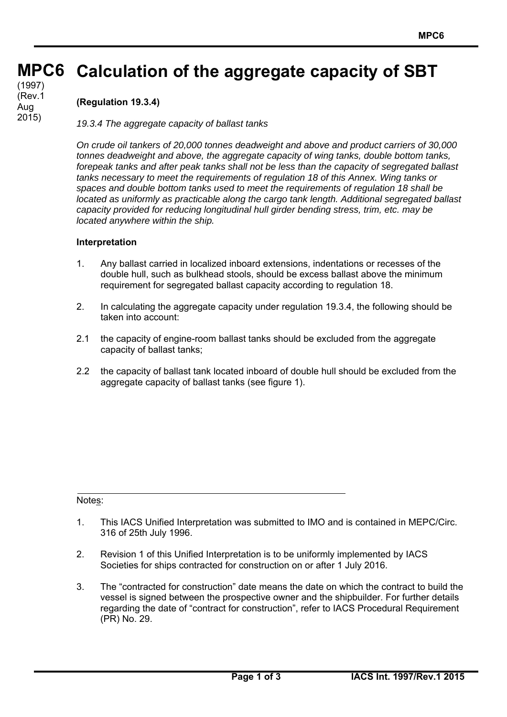#### **MPC6 MPC6 Calculation of the aggregate capacity of SBT**

(cont) (1997) (Rev.1 Aug 2015)

## **(Regulation 19.3.4)**

*19.3.4 The aggregate capacity of ballast tanks*

*On crude oil tankers of 20,000 tonnes deadweight and above and product carriers of 30,000 tonnes deadweight and above, the aggregate capacity of wing tanks, double bottom tanks, forepeak tanks and after peak tanks shall not be less than the capacity of segregated ballast tanks necessary to meet the requirements of regulation 18 of this Annex. Wing tanks or spaces and double bottom tanks used to meet the requirements of regulation 18 shall be located as uniformly as practicable along the cargo tank length. Additional segregated ballast capacity provided for reducing longitudinal hull girder bending stress, trim, etc. may be located anywhere within the ship.* 

#### **Interpretation**

- 1. Any ballast carried in localized inboard extensions, indentations or recesses of the double hull, such as bulkhead stools, should be excess ballast above the minimum requirement for segregated ballast capacity according to regulation 18.
- 2. In calculating the aggregate capacity under regulation 19.3.4, the following should be taken into account:
- 2.1 the capacity of engine-room ballast tanks should be excluded from the aggregate capacity of ballast tanks;
- 2.2 the capacity of ballast tank located inboard of double hull should be excluded from the aggregate capacity of ballast tanks (see figure 1).

### Notes:

 $\overline{a}$ 

- 1. This IACS Unified Interpretation was submitted to IMO and is contained in MEPC/Circ. 316 of 25th July 1996.
- 2. Revision 1 of this Unified Interpretation is to be uniformly implemented by IACS Societies for ships contracted for construction on or after 1 July 2016.
- 3. The "contracted for construction" date means the date on which the contract to build the vessel is signed between the prospective owner and the shipbuilder. For further details regarding the date of "contract for construction", refer to IACS Procedural Requirement (PR) No. 29.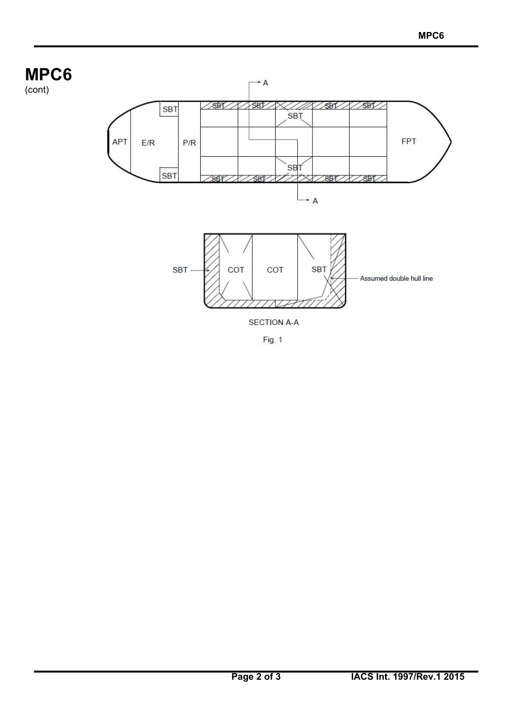# **MPC6**

 $\overline{a}$ 

(cont)



Fig. 1